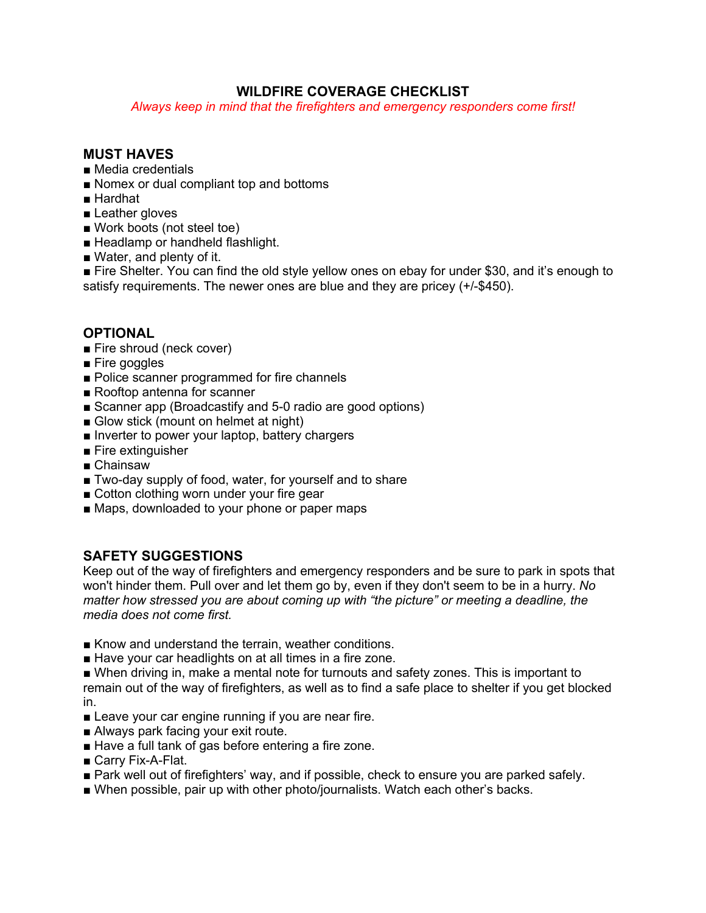# **WILDFIRE COVERAGE CHECKLIST**

*Always keep in mind that the firefighters and emergency responders come first!*

#### **MUST HAVES**

- Media credentials
- Nomex or dual compliant top and bottoms
- Hardhat
- Leather gloves
- Work boots (not steel toe)
- Headlamp or handheld flashlight.
- Water, and plenty of it.

■ Fire Shelter. You can find the old style yellow ones on ebay for under \$30, and it's enough to satisfy requirements. The newer ones are blue and they are pricey (+/-\$450).

### **OPTIONAL**

- Fire shroud (neck cover)
- Fire goggles
- Police scanner programmed for fire channels
- Rooftop antenna for scanner
- Scanner app (Broadcastify and 5-0 radio are good options)
- Glow stick (mount on helmet at night)
- Inverter to power your laptop, battery chargers
- Fire extinguisher
- Chainsaw
- Two-day supply of food, water, for yourself and to share
- Cotton clothing worn under your fire gear
- Maps, downloaded to your phone or paper maps

# **SAFETY SUGGESTIONS**

Keep out of the way of firefighters and emergency responders and be sure to park in spots that won't hinder them. Pull over and let them go by, even if they don't seem to be in a hurry. *No matter how stressed you are about coming up with "the picture" or meeting a deadline, the media does not come first.*

- Know and understand the terrain, weather conditions.
- Have your car headlights on at all times in a fire zone.

■ When driving in, make a mental note for turnouts and safety zones. This is important to remain out of the way of firefighters, as well as to find a safe place to shelter if you get blocked in.

- Leave your car engine running if you are near fire.
- Always park facing your exit route.
- Have a full tank of gas before entering a fire zone.
- Carry Fix-A-Flat.
- Park well out of firefighters' way, and if possible, check to ensure you are parked safely.
- When possible, pair up with other photo/journalists. Watch each other's backs.